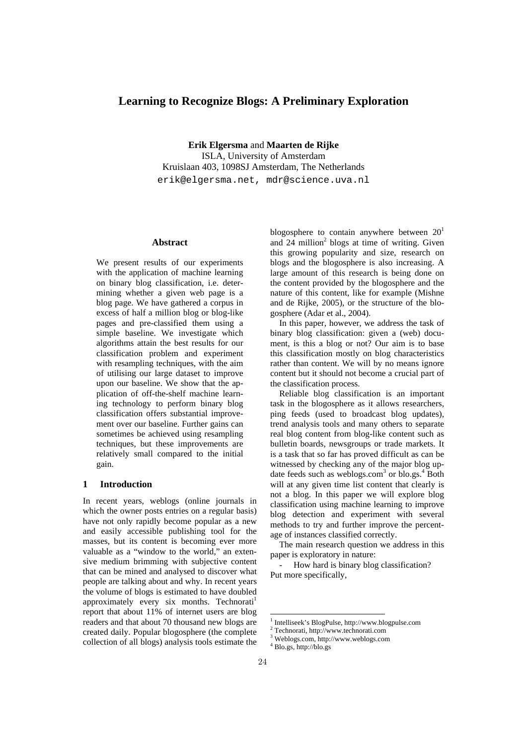# **Learning to Recognize Blogs: A Preliminary Exploration**

**Erik Elgersma** and **Maarten de Rijke**  ISLA, University of Amsterdam Kruislaan 403, 1098SJ Amsterdam, The Netherlands erik@elgersma.net, mdr@science.uva.nl

### **Abstract**

We present results of our experiments with the application of machine learning on binary blog classification, i.e. determining whether a given web page is a blog page. We have gathered a corpus in excess of half a million blog or blog-like pages and pre-classified them using a simple baseline. We investigate which algorithms attain the best results for our classification problem and experiment with resampling techniques, with the aim of utilising our large dataset to improve upon our baseline. We show that the application of off-the-shelf machine learning technology to perform binary blog classification offers substantial improvement over our baseline. Further gains can sometimes be achieved using resampling techniques, but these improvements are relatively small compared to the initial gain.

# **1 Introduction**

In recent years, weblogs (online journals in which the owner posts entries on a regular basis) have not only rapidly become popular as a new and easily accessible publishing tool for the masses, but its content is becoming ever more valuable as a "window to the world," an extensive medium brimming with subjective content that can be mined and analysed to discover what people are talking about and why. In recent years the volume of blogs is estimated to have doubled approximately every six months. Technorati<sup>1</sup> report that about 11% of internet users are blog readers and that about 70 thousand new blogs are created daily. Popular blogosphere (the complete collection of all blogs) analysis tools estimate the blogosphere to contain anywhere between  $20<sup>1</sup>$ and 24 million<sup>2</sup> blogs at time of writing. Given this growing popularity and size, research on blogs and the blogosphere is also increasing. A large amount of this research is being done on the content provided by the blogosphere and the nature of this content, like for example (Mishne and de Rijke, 2005), or the structure of the blogosphere (Adar et al., 2004).

In this paper, however, we address the task of binary blog classification: given a (web) document, is this a blog or not? Our aim is to base this classification mostly on blog characteristics rather than content. We will by no means ignore content but it should not become a crucial part of the classification process.

Reliable blog classification is an important task in the blogosphere as it allows researchers, ping feeds (used to broadcast blog updates), trend analysis tools and many others to separate real blog content from blog-like content such as bulletin boards, newsgroups or trade markets. It is a task that so far has proved difficult as can be witnessed by checking any of the major blog update feeds such as weblogs.com<sup>3</sup> or blo.gs.<sup>4</sup> Both will at any given time list content that clearly is not a blog. In this paper we will explore blog classification using machine learning to improve blog detection and experiment with several methods to try and further improve the percentage of instances classified correctly.

The main research question we address in this paper is exploratory in nature:

How hard is binary blog classification? Put more specifically,

 $\frac{1}{2}$  Intelliseek's BlogPulse, http://www.blogpulse.com <sup>2</sup> Technorati, http://www.technorati.com

Weblogs.com, http://www.weblogs.com 4

Blo.gs, http://blo.gs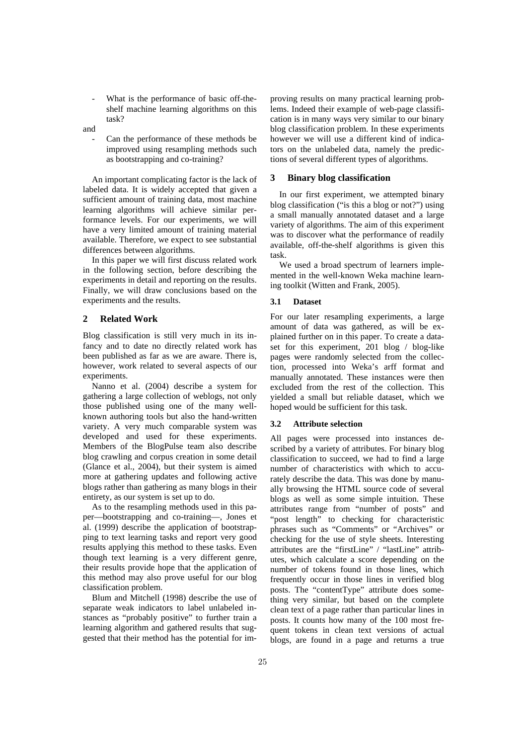- What is the performance of basic off-theshelf machine learning algorithms on this task?
- and
	- Can the performance of these methods be improved using resampling methods such as bootstrapping and co-training?

An important complicating factor is the lack of labeled data. It is widely accepted that given a sufficient amount of training data, most machine learning algorithms will achieve similar performance levels. For our experiments, we will have a very limited amount of training material available. Therefore, we expect to see substantial differences between algorithms.

In this paper we will first discuss related work in the following section, before describing the experiments in detail and reporting on the results. Finally, we will draw conclusions based on the experiments and the results.

# **2 Related Work**

Blog classification is still very much in its infancy and to date no directly related work has been published as far as we are aware. There is, however, work related to several aspects of our experiments.

Nanno et al. (2004) describe a system for gathering a large collection of weblogs, not only those published using one of the many wellknown authoring tools but also the hand-written variety. A very much comparable system was developed and used for these experiments. Members of the BlogPulse team also describe blog crawling and corpus creation in some detail (Glance et al., 2004), but their system is aimed more at gathering updates and following active blogs rather than gathering as many blogs in their entirety, as our system is set up to do.

As to the resampling methods used in this paper—bootstrapping and co-training—, Jones et al. (1999) describe the application of bootstrapping to text learning tasks and report very good results applying this method to these tasks. Even though text learning is a very different genre, their results provide hope that the application of this method may also prove useful for our blog classification problem.

Blum and Mitchell (1998) describe the use of separate weak indicators to label unlabeled instances as "probably positive" to further train a learning algorithm and gathered results that suggested that their method has the potential for improving results on many practical learning problems. Indeed their example of web-page classification is in many ways very similar to our binary blog classification problem. In these experiments however we will use a different kind of indicators on the unlabeled data, namely the predictions of several different types of algorithms.

# **3 Binary blog classification**

In our first experiment, we attempted binary blog classification ("is this a blog or not?") using a small manually annotated dataset and a large variety of algorithms. The aim of this experiment was to discover what the performance of readily available, off-the-shelf algorithms is given this task.

We used a broad spectrum of learners implemented in the well-known Weka machine learning toolkit (Witten and Frank, 2005).

# **3.1 Dataset**

For our later resampling experiments, a large amount of data was gathered, as will be explained further on in this paper. To create a dataset for this experiment, 201 blog / blog-like pages were randomly selected from the collection, processed into Weka's arff format and manually annotated. These instances were then excluded from the rest of the collection. This yielded a small but reliable dataset, which we hoped would be sufficient for this task.

## **3.2 Attribute selection**

All pages were processed into instances described by a variety of attributes. For binary blog classification to succeed, we had to find a large number of characteristics with which to accurately describe the data. This was done by manually browsing the HTML source code of several blogs as well as some simple intuition. These attributes range from "number of posts" and "post length" to checking for characteristic phrases such as "Comments" or "Archives" or checking for the use of style sheets. Interesting attributes are the "firstLine" / "lastLine" attributes, which calculate a score depending on the number of tokens found in those lines, which frequently occur in those lines in verified blog posts. The "contentType" attribute does something very similar, but based on the complete clean text of a page rather than particular lines in posts. It counts how many of the 100 most frequent tokens in clean text versions of actual blogs, are found in a page and returns a true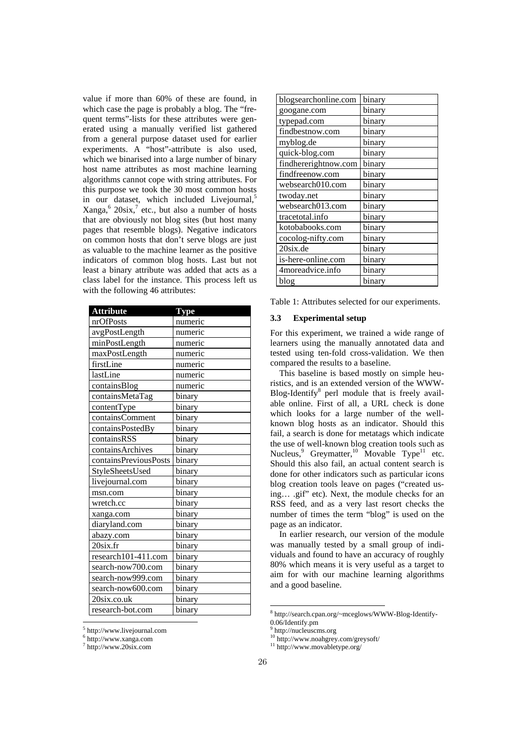value if more than 60% of these are found, in which case the page is probably a blog. The "frequent terms"-lists for these attributes were generated using a manually verified list gathered from a general purpose dataset used for earlier experiments. A "host"-attribute is also used, which we binarised into a large number of binary host name attributes as most machine learning algorithms cannot cope with string attributes. For this purpose we took the 30 most common hosts in our dataset, which included Livejournal,<sup>5</sup>  $Xanga<sub>1</sub><sup>6</sup> 20six<sub>1</sub><sup>7</sup> etc., but also a number of hosts$ that are obviously not blog sites (but host many pages that resemble blogs). Negative indicators on common hosts that don't serve blogs are just as valuable to the machine learner as the positive indicators of common blog hosts. Last but not least a binary attribute was added that acts as a class label for the instance. This process left us with the following 46 attributes:

| <b>Attribute</b>      | <b>Type</b> |
|-----------------------|-------------|
| nrOfPosts             | numeric     |
| avgPostLength         | numeric     |
| minPostLength         | numeric     |
| maxPostLength         | numeric     |
| firstLine             | numeric     |
| lastLine              | numeric     |
| containsBlog          | numeric     |
| containsMetaTag       | binary      |
| contentType           | binary      |
| containsComment       | binary      |
| containsPostedBy      | binary      |
| containsRSS           | binary      |
| containsArchives      | binary      |
| containsPreviousPosts | binary      |
| StyleSheetsUsed       | binary      |
| livejournal.com       | binary      |
| msn.com               | binary      |
| wretch.cc             | binary      |
| xanga.com             | binary      |
| diaryland.com         | binary      |
| abazy.com             | binary      |
| $20$ six.fr           | binary      |
| research101-411.com   | binary      |
| search-now700.com     | binary      |
| search-now999.com     | binary      |
| search-now600.com     | binary      |
| $20$ six.co.uk        | binary      |
| research-bot.com      | binary      |

| $5$ http://www.livejournal.com |  |
|--------------------------------|--|

6 http://www.xanga.com

7 http://www.20six.com

| blogsearchonline.com | binary |
|----------------------|--------|
| googane.com          | binary |
| typepad.com          | binary |
| findbestnow.com      | binary |
| myblog.de            | binary |
| quick-blog.com       | binary |
| findhererightnow.com | binary |
| findfreenow.com      | binary |
| websearch010.com     | binary |
| twoday.net           | binary |
| websearch013.com     | binary |
| tracetotal.info      | binary |
| kotobabooks.com      | binary |
| cocolog-nifty.com    | binary |
| 20six.de             | binary |
| is-here-online.com   | binary |
| 4moreadvice.info     | binary |
| blog                 | binary |

Table 1: Attributes selected for our experiments.

### **3.3 Experimental setup**

For this experiment, we trained a wide range of learners using the manually annotated data and tested using ten-fold cross-validation. We then compared the results to a baseline.

This baseline is based mostly on simple heuristics, and is an extended version of the WWW-Blog-Identify<sup>8</sup> perl module that is freely available online. First of all, a URL check is done which looks for a large number of the wellknown blog hosts as an indicator. Should this fail, a search is done for metatags which indicate the use of well-known blog creation tools such as Nucleus,<sup>9</sup> Greymatter,<sup>10</sup> Movable Type<sup>11</sup> etc. Should this also fail, an actual content search is done for other indicators such as particular icons blog creation tools leave on pages ("created using… .gif" etc). Next, the module checks for an RSS feed, and as a very last resort checks the number of times the term "blog" is used on the page as an indicator.

In earlier research, our version of the module was manually tested by a small group of individuals and found to have an accuracy of roughly 80% which means it is very useful as a target to aim for with our machine learning algorithms and a good baseline.

<sup>8</sup> http://search.cpan.org/~mceglows/WWW-Blog-Identify-

 $0.06$ /Identify.pm http://nucleuscms.org

 $^{10}$ http://www.noahgrey.com/greysoft/

<sup>11</sup> http://www.movabletype.org/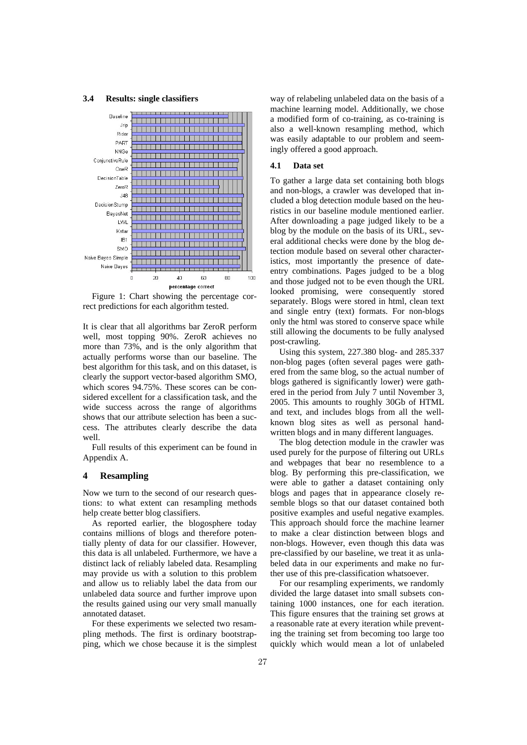#### **3.4 Results: single classifiers**



Figure 1: Chart showing the percentage correct predictions for each algorithm tested.

It is clear that all algorithms bar ZeroR perform well, most topping 90%. ZeroR achieves no more than 73%, and is the only algorithm that actually performs worse than our baseline. The best algorithm for this task, and on this dataset, is clearly the support vector-based algorithm SMO, which scores 94.75%. These scores can be considered excellent for a classification task, and the wide success across the range of algorithms shows that our attribute selection has been a success. The attributes clearly describe the data well.

Full results of this experiment can be found in Appendix A.

### **4 Resampling**

Now we turn to the second of our research questions: to what extent can resampling methods help create better blog classifiers.

As reported earlier, the blogosphere today contains millions of blogs and therefore potentially plenty of data for our classifier. However, this data is all unlabeled. Furthermore, we have a distinct lack of reliably labeled data. Resampling may provide us with a solution to this problem and allow us to reliably label the data from our unlabeled data source and further improve upon the results gained using our very small manually annotated dataset.

For these experiments we selected two resampling methods. The first is ordinary bootstrapping, which we chose because it is the simplest way of relabeling unlabeled data on the basis of a machine learning model. Additionally, we chose a modified form of co-training, as co-training is also a well-known resampling method, which was easily adaptable to our problem and seemingly offered a good approach.

#### **4.1 Data set**

To gather a large data set containing both blogs and non-blogs, a crawler was developed that included a blog detection module based on the heuristics in our baseline module mentioned earlier. After downloading a page judged likely to be a blog by the module on the basis of its URL, several additional checks were done by the blog detection module based on several other characteristics, most importantly the presence of dateentry combinations. Pages judged to be a blog and those judged not to be even though the URL looked promising, were consequently stored separately. Blogs were stored in html, clean text and single entry (text) formats. For non-blogs only the html was stored to conserve space while still allowing the documents to be fully analysed post-crawling.

Using this system, 227.380 blog- and 285.337 non-blog pages (often several pages were gathered from the same blog, so the actual number of blogs gathered is significantly lower) were gathered in the period from July 7 until November 3, 2005. This amounts to roughly 30Gb of HTML and text, and includes blogs from all the wellknown blog sites as well as personal handwritten blogs and in many different languages.

The blog detection module in the crawler was used purely for the purpose of filtering out URLs and webpages that bear no resemblence to a blog. By performing this pre-classification, we were able to gather a dataset containing only blogs and pages that in appearance closely resemble blogs so that our dataset contained both positive examples and useful negative examples. This approach should force the machine learner to make a clear distinction between blogs and non-blogs. However, even though this data was pre-classified by our baseline, we treat it as unlabeled data in our experiments and make no further use of this pre-classification whatsoever.

For our resampling experiments, we randomly divided the large dataset into small subsets containing 1000 instances, one for each iteration. This figure ensures that the training set grows at a reasonable rate at every iteration while preventing the training set from becoming too large too quickly which would mean a lot of unlabeled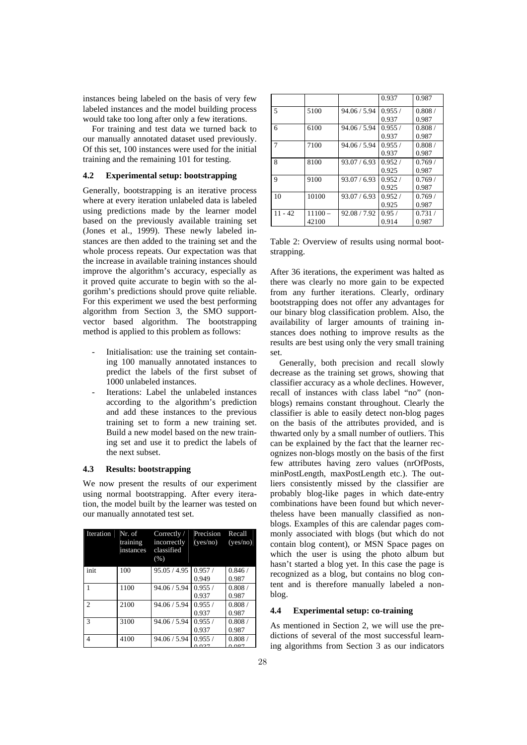instances being labeled on the basis of very few labeled instances and the model building process would take too long after only a few iterations.

For training and test data we turned back to our manually annotated dataset used previously. Of this set, 100 instances were used for the initial training and the remaining 101 for testing.

# **4.2 Experimental setup: bootstrapping**

Generally, bootstrapping is an iterative process where at every iteration unlabeled data is labeled using predictions made by the learner model based on the previously available training set (Jones et al., 1999). These newly labeled instances are then added to the training set and the whole process repeats. Our expectation was that the increase in available training instances should improve the algorithm's accuracy, especially as it proved quite accurate to begin with so the algorihm's predictions should prove quite reliable. For this experiment we used the best performing algorithm from Section 3, the SMO supportvector based algorithm. The bootstrapping method is applied to this problem as follows:

- Initialisation: use the training set containing 100 manually annotated instances to predict the labels of the first subset of 1000 unlabeled instances.
- Iterations: Label the unlabeled instances according to the algorithm's prediction and add these instances to the previous training set to form a new training set. Build a new model based on the new training set and use it to predict the labels of the next subset.

### **4.3 Results: bootstrapping**

We now present the results of our experiment using normal bootstrapping. After every iteration, the model built by the learner was tested on our manually annotated test set.

| Iteration     | Nr. of<br>training<br>instances | Correctly/<br>incorrectly<br>classified<br>(% ) | Precision<br>(yes/no) | Recall<br>(yes/no) |
|---------------|---------------------------------|-------------------------------------------------|-----------------------|--------------------|
| init          | 100                             | 95.05 / 4.95                                    | 0.957/<br>0.949       | 0.846/<br>0.987    |
|               | 1100                            | 94.06 / 5.94                                    | 0.955/<br>0.937       | 0.808/<br>0.987    |
| $\mathcal{L}$ | 2100                            | 94.06 / 5.94                                    | 0.955/<br>0.937       | 0.808/<br>0.987    |
| $\mathcal{R}$ | 3100                            | 94.06 / 5.94                                    | 0.955/<br>0.937       | 0.808/<br>0.987    |
| 4             | 4100                            | 94.06 / 5.94                                    | 0.955/<br>0.027       | 0.808/<br>0.027    |

|           |           |              | 0.937  | 0.987  |
|-----------|-----------|--------------|--------|--------|
| 5         | 5100      | 94.06 / 5.94 | 0.955/ | 0.808/ |
|           |           |              | 0.937  | 0.987  |
| 6         | 6100      | 94.06 / 5.94 | 0.955/ | 0.808/ |
|           |           |              | 0.937  | 0.987  |
| 7         | 7100      | 94.06 / 5.94 | 0.955/ | 0.808/ |
|           |           |              | 0.937  | 0.987  |
| 8         | 8100      | 93.07 / 6.93 | 0.952/ | 0.769/ |
|           |           |              | 0.925  | 0.987  |
| 9         | 9100      | 93.07 / 6.93 | 0.952/ | 0.769/ |
|           |           |              | 0.925  | 0.987  |
| 10        | 10100     | 93.07 / 6.93 | 0.952/ | 0.769/ |
|           |           |              | 0.925  | 0.987  |
| $11 - 42$ | $11100 -$ | 92.08/7.92   | 0.95/  | 0.731/ |
|           | 42100     |              | 0.914  | 0.987  |

Table 2: Overview of results using normal bootstrapping.

After 36 iterations, the experiment was halted as there was clearly no more gain to be expected from any further iterations. Clearly, ordinary bootstrapping does not offer any advantages for our binary blog classification problem. Also, the availability of larger amounts of training instances does nothing to improve results as the results are best using only the very small training set.

Generally, both precision and recall slowly decrease as the training set grows, showing that classifier accuracy as a whole declines. However, recall of instances with class label "no" (nonblogs) remains constant throughout. Clearly the classifier is able to easily detect non-blog pages on the basis of the attributes provided, and is thwarted only by a small number of outliers. This can be explained by the fact that the learner recognizes non-blogs mostly on the basis of the first few attributes having zero values (nrOfPosts, minPostLength, maxPostLength etc.). The outliers consistently missed by the classifier are probably blog-like pages in which date-entry combinations have been found but which nevertheless have been manually classified as nonblogs. Examples of this are calendar pages commonly associated with blogs (but which do not contain blog content), or MSN Space pages on which the user is using the photo album but hasn't started a blog yet. In this case the page is recognized as a blog, but contains no blog content and is therefore manually labeled a nonblog.

#### **4.4 Experimental setup: co-training**

As mentioned in Section 2, we will use the predictions of several of the most successful learning algorithms from Section 3 as our indicators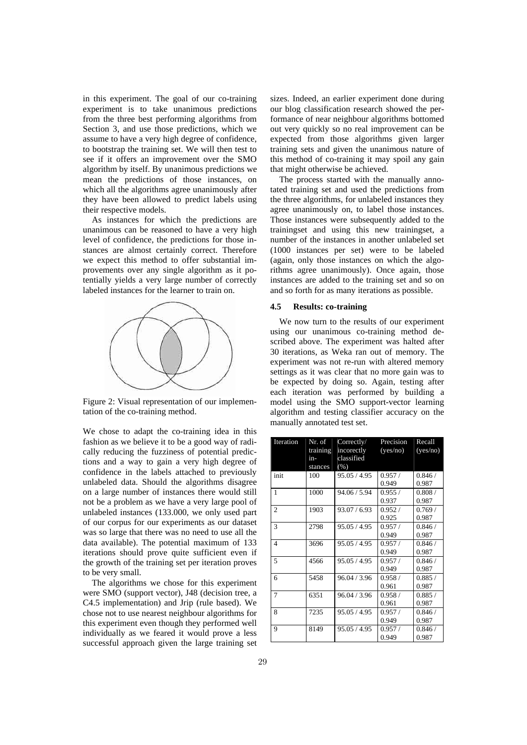in this experiment. The goal of our co-training experiment is to take unanimous predictions from the three best performing algorithms from Section 3, and use those predictions, which we assume to have a very high degree of confidence, to bootstrap the training set. We will then test to see if it offers an improvement over the SMO algorithm by itself. By unanimous predictions we mean the predictions of those instances, on which all the algorithms agree unanimously after they have been allowed to predict labels using their respective models.

As instances for which the predictions are unanimous can be reasoned to have a very high level of confidence, the predictions for those instances are almost certainly correct. Therefore we expect this method to offer substantial improvements over any single algorithm as it potentially yields a very large number of correctly labeled instances for the learner to train on.



Figure 2: Visual representation of our implementation of the co-training method.

We chose to adapt the co-training idea in this fashion as we believe it to be a good way of radically reducing the fuzziness of potential predictions and a way to gain a very high degree of confidence in the labels attached to previously unlabeled data. Should the algorithms disagree on a large number of instances there would still not be a problem as we have a very large pool of unlabeled instances (133.000, we only used part of our corpus for our experiments as our dataset was so large that there was no need to use all the data available). The potential maximum of 133 iterations should prove quite sufficient even if the growth of the training set per iteration proves to be very small.

The algorithms we chose for this experiment were SMO (support vector), J48 (decision tree, a C4.5 implementation) and Jrip (rule based). We chose not to use nearest neighbour algorithms for this experiment even though they performed well individually as we feared it would prove a less successful approach given the large training set sizes. Indeed, an earlier experiment done during our blog classification research showed the performance of near neighbour algorithms bottomed out very quickly so no real improvement can be expected from those algorithms given larger training sets and given the unanimous nature of this method of co-training it may spoil any gain that might otherwise be achieved.

The process started with the manually annotated training set and used the predictions from the three algorithms, for unlabeled instances they agree unanimously on, to label those instances. Those instances were subsequently added to the trainingset and using this new trainingset, a number of the instances in another unlabeled set (1000 instances per set) were to be labeled (again, only those instances on which the algorithms agree unanimously). Once again, those instances are added to the training set and so on and so forth for as many iterations as possible.

### **4.5 Results: co-training**

We now turn to the results of our experiment using our unanimous co-training method described above. The experiment was halted after 30 iterations, as Weka ran out of memory. The experiment was not re-run with altered memory settings as it was clear that no more gain was to be expected by doing so. Again, testing after each iteration was performed by building a model using the SMO support-vector learning algorithm and testing classifier accuracy on the manually annotated test set.

| Iteration      | Nr. of<br>training<br>in-<br>stances | Correctly/<br>incorectly<br>classified<br>(% ) | Precision<br>(yes/no) | Recall<br>(yes/no) |
|----------------|--------------------------------------|------------------------------------------------|-----------------------|--------------------|
| init           | 100                                  | 95.05 / 4.95                                   | 0.957/<br>0.949       | 0.846/<br>0.987    |
| $\mathbf{1}$   | 1000                                 | 94.06 / 5.94                                   | 0.955/<br>0.937       | 0.808/<br>0.987    |
| $\overline{2}$ | 1903                                 | 93.07 / 6.93                                   | 0.952/<br>0.925       | 0.769/<br>0.987    |
| 3              | 2798                                 | 95.05 / 4.95                                   | 0.957/<br>0.949       | 0.846/<br>0.987    |
| 4              | 3696                                 | 95.05 / 4.95                                   | 0.957/<br>0.949       | 0.846/<br>0.987    |
| 5              | 4566                                 | 95.05 / 4.95                                   | 0.957/<br>0.949       | 0.846/<br>0.987    |
| 6              | 5458                                 | 96.04 / 3.96                                   | 0.958/<br>0.961       | 0.885/<br>0.987    |
| 7              | 6351                                 | 96.04 / 3.96                                   | 0.958/<br>0.961       | 0.885/<br>0.987    |
| 8              | 7235                                 | 95.05 / 4.95                                   | 0.957/<br>0.949       | 0.846/<br>0.987    |
| 9              | 8149                                 | 95.05 / 4.95                                   | 0.957/<br>0.949       | 0.846/<br>0.987    |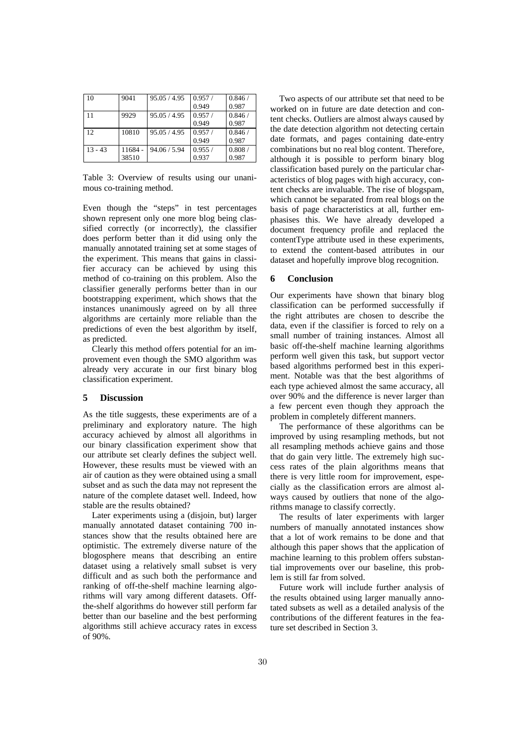| 10        | 9041  | 95.05 / 4.95 | 0.957/ | 0.846/ |
|-----------|-------|--------------|--------|--------|
|           |       |              | 0.949  | 0.987  |
| 11        | 9929  | 95.05/4.95   | 0.957/ | 0.846/ |
|           |       |              | 0.949  | 0.987  |
| 12        | 10810 | 95.05 / 4.95 | 0.957/ | 0.846/ |
|           |       |              | 0.949  | 0.987  |
| $13 - 43$ | 11684 | 94.06 / 5.94 | 0.955/ | 0.808/ |
|           | 38510 |              | 0.937  | 0.987  |

Table 3: Overview of results using our unanimous co-training method.

Even though the "steps" in test percentages shown represent only one more blog being classified correctly (or incorrectly), the classifier does perform better than it did using only the manually annotated training set at some stages of the experiment. This means that gains in classifier accuracy can be achieved by using this method of co-training on this problem. Also the classifier generally performs better than in our bootstrapping experiment, which shows that the instances unanimously agreed on by all three algorithms are certainly more reliable than the predictions of even the best algorithm by itself, as predicted.

Clearly this method offers potential for an improvement even though the SMO algorithm was already very accurate in our first binary blog classification experiment.

### **5 Discussion**

As the title suggests, these experiments are of a preliminary and exploratory nature. The high accuracy achieved by almost all algorithms in our binary classification experiment show that our attribute set clearly defines the subject well. However, these results must be viewed with an air of caution as they were obtained using a small subset and as such the data may not represent the nature of the complete dataset well. Indeed, how stable are the results obtained?

Later experiments using a (disjoin, but) larger manually annotated dataset containing 700 instances show that the results obtained here are optimistic. The extremely diverse nature of the blogosphere means that describing an entire dataset using a relatively small subset is very difficult and as such both the performance and ranking of off-the-shelf machine learning algorithms will vary among different datasets. Offthe-shelf algorithms do however still perform far better than our baseline and the best performing algorithms still achieve accuracy rates in excess of 90%.

Two aspects of our attribute set that need to be worked on in future are date detection and content checks. Outliers are almost always caused by the date detection algorithm not detecting certain date formats, and pages containing date-entry combinations but no real blog content. Therefore, although it is possible to perform binary blog classification based purely on the particular characteristics of blog pages with high accuracy, content checks are invaluable. The rise of blogspam, which cannot be separated from real blogs on the basis of page characteristics at all, further emphasises this. We have already developed a document frequency profile and replaced the contentType attribute used in these experiments, to extend the content-based attributes in our dataset and hopefully improve blog recognition.

# **6 Conclusion**

Our experiments have shown that binary blog classification can be performed successfully if the right attributes are chosen to describe the data, even if the classifier is forced to rely on a small number of training instances. Almost all basic off-the-shelf machine learning algorithms perform well given this task, but support vector based algorithms performed best in this experiment. Notable was that the best algorithms of each type achieved almost the same accuracy, all over 90% and the difference is never larger than a few percent even though they approach the problem in completely different manners.

The performance of these algorithms can be improved by using resampling methods, but not all resampling methods achieve gains and those that do gain very little. The extremely high success rates of the plain algorithms means that there is very little room for improvement, especially as the classification errors are almost always caused by outliers that none of the algorithms manage to classify correctly.

The results of later experiments with larger numbers of manually annotated instances show that a lot of work remains to be done and that although this paper shows that the application of machine learning to this problem offers substantial improvements over our baseline, this problem is still far from solved.

Future work will include further analysis of the results obtained using larger manually annotated subsets as well as a detailed analysis of the contributions of the different features in the feature set described in Section 3.